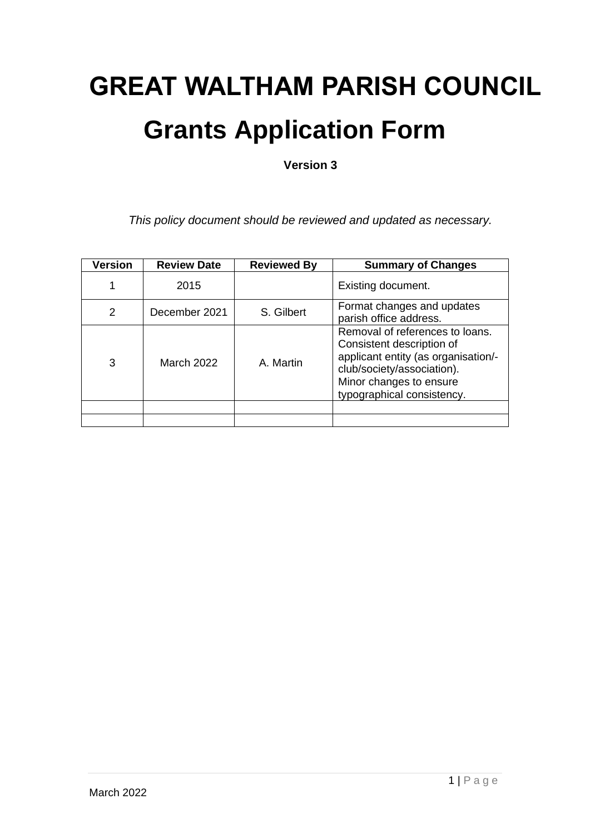# **GREAT WALTHAM PARISH COUNCIL Grants Application Form**

**Version 3**

*This policy document should be reviewed and updated as necessary.*

| <b>Version</b> | <b>Review Date</b> | <b>Reviewed By</b> | <b>Summary of Changes</b>                                                                                                                                                                  |
|----------------|--------------------|--------------------|--------------------------------------------------------------------------------------------------------------------------------------------------------------------------------------------|
| 1              | 2015               |                    | Existing document.                                                                                                                                                                         |
| 2              | December 2021      | S. Gilbert         | Format changes and updates<br>parish office address.                                                                                                                                       |
| 3              | March 2022         | A. Martin          | Removal of references to loans.<br>Consistent description of<br>applicant entity (as organisation/-<br>club/society/association).<br>Minor changes to ensure<br>typographical consistency. |
|                |                    |                    |                                                                                                                                                                                            |
|                |                    |                    |                                                                                                                                                                                            |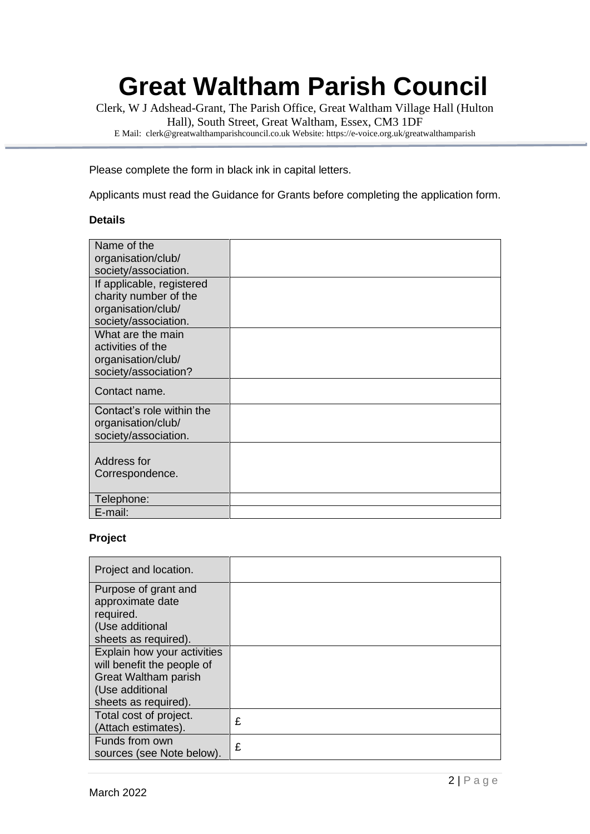# **Great Waltham Parish Council**

Clerk, W J Adshead-Grant, The Parish Office, Great Waltham Village Hall (Hulton Hall), South Street, Great Waltham, Essex, CM3 1DF E Mail: clerk@greatwalthamparishcouncil.co.uk Website: https://e-voice.org.uk/greatwalthamparish

Please complete the form in black ink in capital letters.

Applicants must read the Guidance for Grants before completing the application form.

#### **Details**

| Name of the               |  |
|---------------------------|--|
| organisation/club/        |  |
| society/association.      |  |
| If applicable, registered |  |
| charity number of the     |  |
| organisation/club/        |  |
| society/association.      |  |
| What are the main         |  |
| activities of the         |  |
| organisation/club/        |  |
| society/association?      |  |
| Contact name.             |  |
| Contact's role within the |  |
| organisation/club/        |  |
| society/association.      |  |
|                           |  |
| Address for               |  |
| Correspondence.           |  |
|                           |  |
| Telephone:                |  |
| E-mail:                   |  |

## **Project**

| Project and location.                                                                                                        |   |
|------------------------------------------------------------------------------------------------------------------------------|---|
| Purpose of grant and<br>approximate date<br>required.<br>(Use additional<br>sheets as required).                             |   |
| Explain how your activities<br>will benefit the people of<br>Great Waltham parish<br>(Use additional<br>sheets as required). |   |
| Total cost of project.<br>(Attach estimates).                                                                                | £ |
| Funds from own<br>sources (see Note below).                                                                                  | £ |